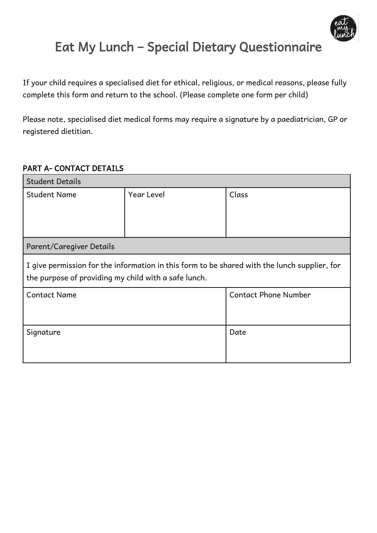

# Eat My Lunch – Special Dietary Questionnaire

If your child requires a specialised diet for ethical, religious, or medical reasons, please fully complete this form and return to the school. (Please complete one form per child)

Please note, specialised diet medical forms may require a signature by a paediatrician, GP or registered dietitian.

### PART A- CONTACT DETAILS

| <b>Student Details</b>                                                                                                                               |            |                             |  |
|------------------------------------------------------------------------------------------------------------------------------------------------------|------------|-----------------------------|--|
| <b>Student Name</b>                                                                                                                                  | Year Level | Class                       |  |
|                                                                                                                                                      |            |                             |  |
|                                                                                                                                                      |            |                             |  |
|                                                                                                                                                      |            |                             |  |
| Parent/Caregiver Details                                                                                                                             |            |                             |  |
| I give permission for the information in this form to be shared with the lunch supplier, for<br>the purpose of providing my child with a safe lunch. |            |                             |  |
| <b>Contact Name</b>                                                                                                                                  |            | <b>Contact Phone Number</b> |  |
|                                                                                                                                                      |            |                             |  |
|                                                                                                                                                      |            |                             |  |
| Signature                                                                                                                                            |            | Date                        |  |
|                                                                                                                                                      |            |                             |  |
|                                                                                                                                                      |            |                             |  |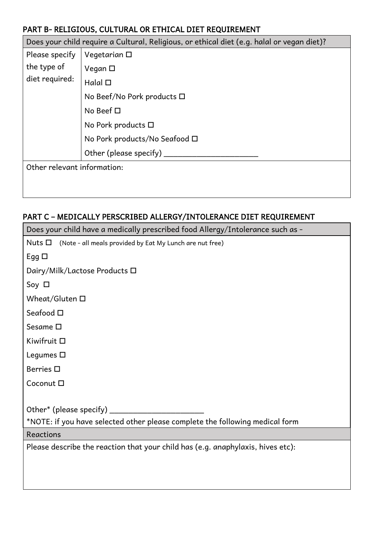## PART B- RELIGIOUS, CULTURAL OR ETHICAL DIET REQUIREMENT

Does your child require a Cultural, Religious, or ethical diet (e.g. halal or vegan diet)?

| Please specify              | Vegetarian $\square$          |
|-----------------------------|-------------------------------|
| the type of                 | Vegan □                       |
| diet required:              | Halal $\square$               |
|                             | No Beef/No Pork products □    |
|                             | No Beef $\square$             |
|                             | No Pork products □            |
|                             | No Pork products/No Seafood □ |
|                             | Other (please specify)        |
| Other relevant information: |                               |
|                             |                               |

# PART C – MEDICALLY PERSCRIBED ALLERGY/INTOLERANCE DIET REQUIREMENT

| Does your child have a medically prescribed food Allergy/Intolerance such as -  |  |  |
|---------------------------------------------------------------------------------|--|--|
| Nuts $\square$<br>(Note - all meals provided by Eat My Lunch are nut free)      |  |  |
| Egg $\square$                                                                   |  |  |
| Dairy/Milk/Lactose Products □                                                   |  |  |
| Soy $\Box$                                                                      |  |  |
| Wheat/Gluten $\square$                                                          |  |  |
| Seafood $\square$                                                               |  |  |
| Sesame $\square$                                                                |  |  |
| Kiwifruit □                                                                     |  |  |
| Legumes $\square$                                                               |  |  |
| Berries □                                                                       |  |  |
| Coconut □                                                                       |  |  |
|                                                                                 |  |  |
| Other* (please specify) ____                                                    |  |  |
| *NOTE: if you have selected other please complete the following medical form    |  |  |
| Reactions                                                                       |  |  |
| Please describe the reaction that your child has (e.g. anaphylaxis, hives etc): |  |  |
|                                                                                 |  |  |
|                                                                                 |  |  |